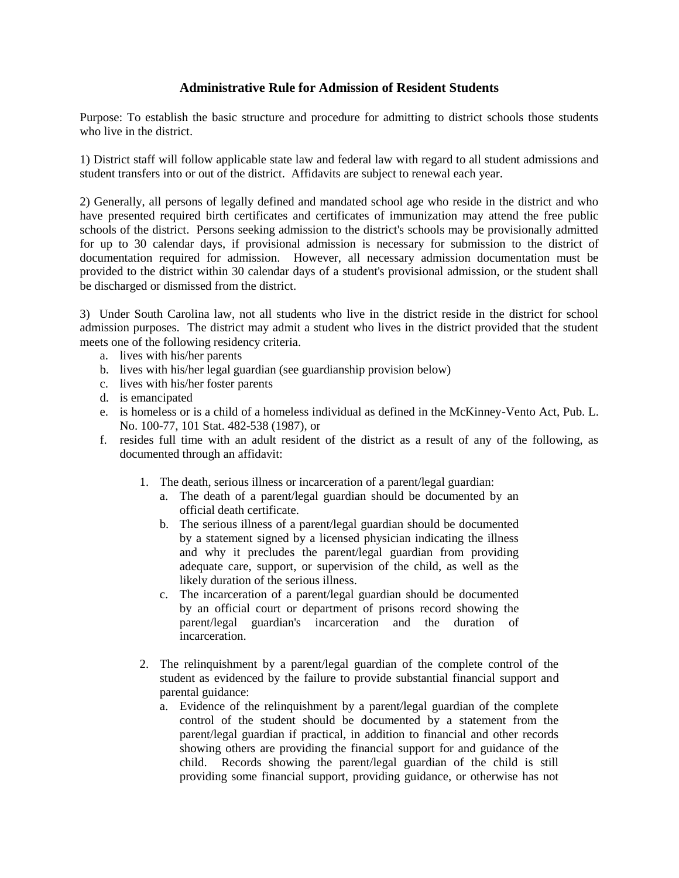## **Administrative Rule for Admission of Resident Students**

Purpose: To establish the basic structure and procedure for admitting to district schools those students who live in the district.

1) District staff will follow applicable state law and federal law with regard to all student admissions and student transfers into or out of the district. Affidavits are subject to renewal each year.

2) Generally, all persons of legally defined and mandated school age who reside in the district and who have presented required birth certificates and certificates of immunization may attend the free public schools of the district. Persons seeking admission to the district's schools may be provisionally admitted for up to 30 calendar days, if provisional admission is necessary for submission to the district of documentation required for admission. However, all necessary admission documentation must be provided to the district within 30 calendar days of a student's provisional admission, or the student shall be discharged or dismissed from the district.

3) Under South Carolina law, not all students who live in the district reside in the district for school admission purposes. The district may admit a student who lives in the district provided that the student meets one of the following residency criteria.

- a. lives with his/her parents
- b. lives with his/her legal guardian (see guardianship provision below)
- c. lives with his/her foster parents
- d. is emancipated
- e. is homeless or is a child of a homeless individual as defined in the McKinney-Vento Act, Pub. L. No. 100-77, 101 Stat. 482-538 (1987), or
- f. resides full time with an adult resident of the district as a result of any of the following, as documented through an affidavit:
	- 1. The death, serious illness or incarceration of a parent/legal guardian:
		- a. The death of a parent/legal guardian should be documented by an official death certificate.
		- b. The serious illness of a parent/legal guardian should be documented by a statement signed by a licensed physician indicating the illness and why it precludes the parent/legal guardian from providing adequate care, support, or supervision of the child, as well as the likely duration of the serious illness.
		- c. The incarceration of a parent/legal guardian should be documented by an official court or department of prisons record showing the parent/legal guardian's incarceration and the duration of incarceration.
	- 2. The relinquishment by a parent/legal guardian of the complete control of the student as evidenced by the failure to provide substantial financial support and parental guidance:
		- a. Evidence of the relinquishment by a parent/legal guardian of the complete control of the student should be documented by a statement from the parent/legal guardian if practical, in addition to financial and other records showing others are providing the financial support for and guidance of the child. Records showing the parent/legal guardian of the child is still providing some financial support, providing guidance, or otherwise has not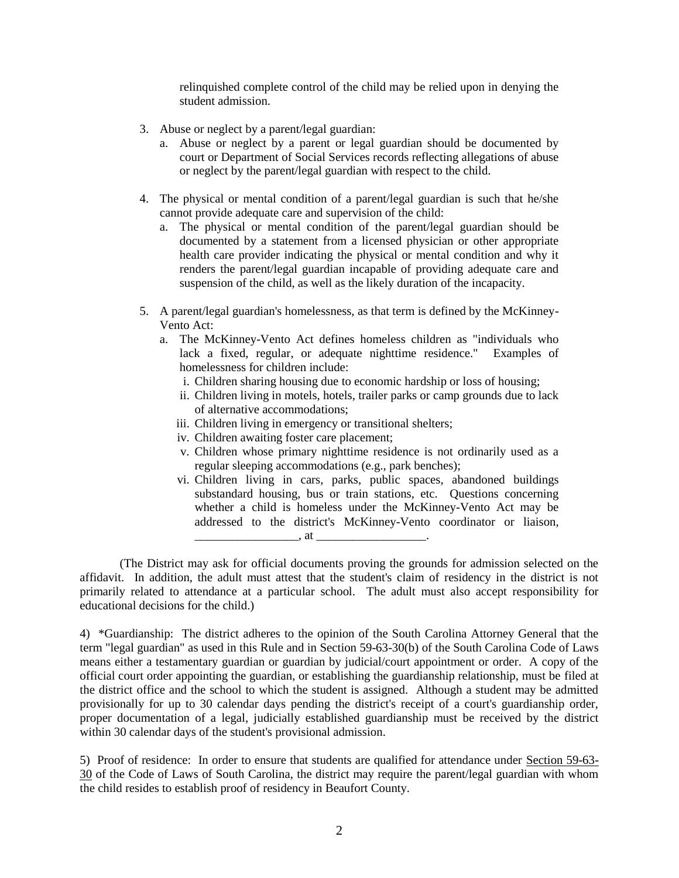relinquished complete control of the child may be relied upon in denying the student admission.

- 3. Abuse or neglect by a parent/legal guardian:
	- a. Abuse or neglect by a parent or legal guardian should be documented by court or Department of Social Services records reflecting allegations of abuse or neglect by the parent/legal guardian with respect to the child.
- 4. The physical or mental condition of a parent/legal guardian is such that he/she cannot provide adequate care and supervision of the child:
	- a. The physical or mental condition of the parent/legal guardian should be documented by a statement from a licensed physician or other appropriate health care provider indicating the physical or mental condition and why it renders the parent/legal guardian incapable of providing adequate care and suspension of the child, as well as the likely duration of the incapacity.
- 5. A parent/legal guardian's homelessness, as that term is defined by the McKinney-Vento Act:
	- a. The McKinney-Vento Act defines homeless children as "individuals who lack a fixed, regular, or adequate nighttime residence." Examples of homelessness for children include:
		- i. Children sharing housing due to economic hardship or loss of housing;
		- ii. Children living in motels, hotels, trailer parks or camp grounds due to lack of alternative accommodations;
		- iii. Children living in emergency or transitional shelters;
		- iv. Children awaiting foster care placement;
		- v. Children whose primary nighttime residence is not ordinarily used as a regular sleeping accommodations (e.g., park benches);
		- vi. Children living in cars, parks, public spaces, abandoned buildings substandard housing, bus or train stations, etc. Questions concerning whether a child is homeless under the McKinney-Vento Act may be addressed to the district's McKinney-Vento coordinator or liaison, \_\_\_\_\_\_\_\_\_\_\_\_\_\_\_\_\_, at \_\_\_\_\_\_\_\_\_\_\_\_\_\_\_\_\_\_.

(The District may ask for official documents proving the grounds for admission selected on the affidavit. In addition, the adult must attest that the student's claim of residency in the district is not primarily related to attendance at a particular school. The adult must also accept responsibility for educational decisions for the child.)

4) \*Guardianship: The district adheres to the opinion of the South Carolina Attorney General that the term "legal guardian" as used in this Rule and in Section 59-63-30(b) of the South Carolina Code of Laws means either a testamentary guardian or guardian by judicial/court appointment or order. A copy of the official court order appointing the guardian, or establishing the guardianship relationship, must be filed at the district office and the school to which the student is assigned. Although a student may be admitted provisionally for up to 30 calendar days pending the district's receipt of a court's guardianship order, proper documentation of a legal, judicially established guardianship must be received by the district within 30 calendar days of the student's provisional admission.

5) Proof of residence: In order to ensure that students are qualified for attendance under Section 59-63- 30 of the Code of Laws of South Carolina, the district may require the parent/legal guardian with whom the child resides to establish proof of residency in Beaufort County.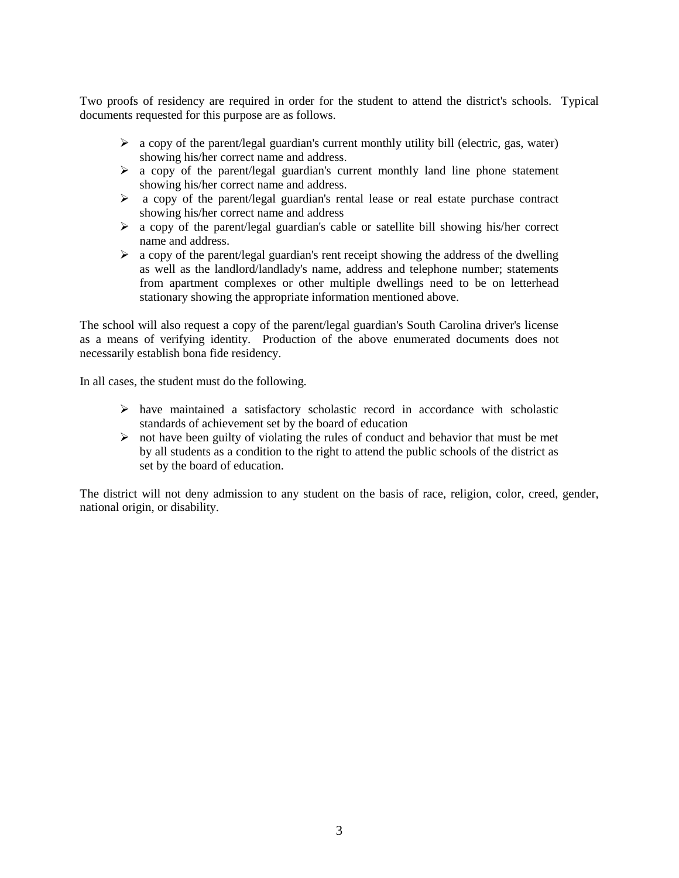Two proofs of residency are required in order for the student to attend the district's schools. Typical documents requested for this purpose are as follows.

- $\triangleright$  a copy of the parent/legal guardian's current monthly utility bill (electric, gas, water) showing his/her correct name and address.
- a copy of the parent/legal guardian's current monthly land line phone statement showing his/her correct name and address.
- $\triangleright$  a copy of the parent/legal guardian's rental lease or real estate purchase contract showing his/her correct name and address
- $\triangleright$  a copy of the parent/legal guardian's cable or satellite bill showing his/her correct name and address.
- $\triangleright$  a copy of the parent/legal guardian's rent receipt showing the address of the dwelling as well as the landlord/landlady's name, address and telephone number; statements from apartment complexes or other multiple dwellings need to be on letterhead stationary showing the appropriate information mentioned above.

The school will also request a copy of the parent/legal guardian's South Carolina driver's license as a means of verifying identity. Production of the above enumerated documents does not necessarily establish bona fide residency.

In all cases, the student must do the following.

- $\triangleright$  have maintained a satisfactory scholastic record in accordance with scholastic standards of achievement set by the board of education
- $\triangleright$  not have been guilty of violating the rules of conduct and behavior that must be met by all students as a condition to the right to attend the public schools of the district as set by the board of education.

The district will not deny admission to any student on the basis of race, religion, color, creed, gender, national origin, or disability.